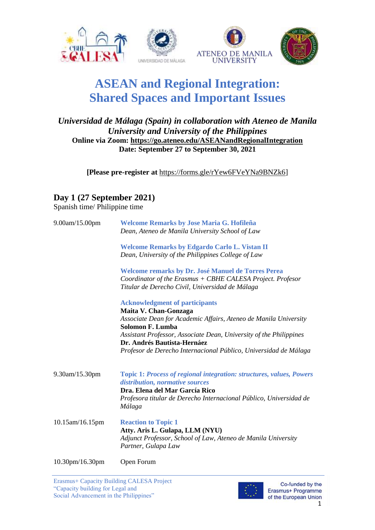



# **ASEAN and Regional Integration: Shared Spaces and Important Issues**

#### *Universidad de Málaga (Spain) in collaboration with Ateneo de Manila University and University of the Philippines* **Online via Zoom:<https://go.ateneo.edu/ASEANandRegionalIntegration> Date: September 27 to September 30, 2021**

**[Please pre-register at** [https://forms.gle/rYew6FVeYNa9BNZk6\]](https://forms.gle/rYew6FVeYNa9BNZk6)

### **Day 1 (27 September 2021)**

Spanish time/ Philippine time

| 9.00am/15.00pm  | Welcome Remarks by Jose Maria G. Hofileña<br>Dean, Ateneo de Manila University School of Law                                                                        |
|-----------------|---------------------------------------------------------------------------------------------------------------------------------------------------------------------|
|                 | <b>Welcome Remarks by Edgardo Carlo L. Vistan II</b><br>Dean, University of the Philippines College of Law                                                          |
|                 | Welcome remarks by Dr. José Manuel de Torres Perea<br>Coordinator of the Erasmus + CBHE CALESA Project. Profesor<br>Titular de Derecho Civil, Universidad de Málaga |
|                 | <b>Acknowledgment of participants</b>                                                                                                                               |
|                 | Maita V. Chan-Gonzaga<br>Associate Dean for Academic Affairs, Ateneo de Manila University<br><b>Solomon F. Lumba</b>                                                |
|                 | Assistant Professor, Associate Dean, University of the Philippines<br>Dr. Andrés Bautista-Hernáez                                                                   |
|                 | Profesor de Derecho Internacional Público, Universidad de Málaga                                                                                                    |
| 9.30am/15.30pm  | Topic 1: Process of regional integration: structures, values, Powers<br>distribution, normative sources<br>Dra. Elena del Mar García Rico                           |
|                 | Profesora titular de Derecho Internacional Público, Universidad de<br>Málaga                                                                                        |
| 10.15am/16.15pm | <b>Reaction to Topic 1</b><br>Atty. Aris L. Gulapa, LLM (NYU)<br>Adjunct Professor, School of Law, Ateneo de Manila University<br>Partner, Gulapa Law               |
|                 |                                                                                                                                                                     |

10.30pm/16.30pm Open Forum

Erasmus+ Capacity Building CALESA Project "Capacity building for Legal and Social Advancement in the Philippines"



Co-funded by the Erasmus+ Programme of the European Union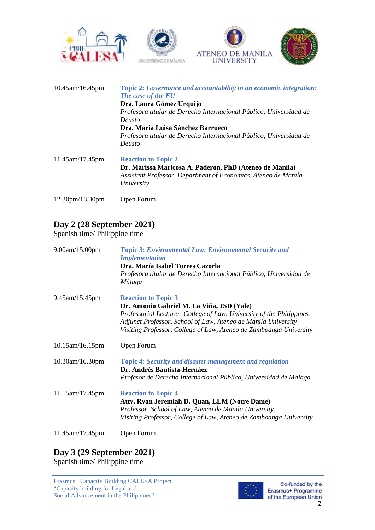







| $10.45$ am/16.45pm                       | Topic 2: Governance and accountability in an economic integration:<br>The case of the EU |
|------------------------------------------|------------------------------------------------------------------------------------------|
|                                          | Dra. Laura Gómez Urquijo                                                                 |
|                                          | Profesora titular de Derecho Internacional Público, Universidad de                       |
|                                          | Deusto                                                                                   |
|                                          | Dra. María Luisa Sánchez Barrueco                                                        |
|                                          | Profesora titular de Derecho Internacional Público, Universidad de                       |
|                                          | Deusto                                                                                   |
| $11.45$ am/17.45pm                       | <b>Reaction to Topic 2</b>                                                               |
|                                          | Dr. Marissa Maricosa A. Paderon, PhD (Ateneo de Manila)                                  |
|                                          | Assistant Professor, Department of Economics, Ateneo de Manila                           |
|                                          | University                                                                               |
| 12.30 <sub>pm</sub> /18.30 <sub>pm</sub> | Open Forum                                                                               |

## **Day 2 (28 September 2021)**

Spanish time/ Philippine time

| 9.00am/15.00pm              | <b>Topic 3: Environmental Law: Environmental Security and</b><br><b>Implementation</b><br>Dra. María Isabel Torres Cazorla<br>Profesora titular de Derecho Internacional Público, Universidad de<br>Málaga                                                                              |
|-----------------------------|-----------------------------------------------------------------------------------------------------------------------------------------------------------------------------------------------------------------------------------------------------------------------------------------|
| 9.45am/15.45pm              | <b>Reaction to Topic 3</b><br>Dr. Antonio Gabriel M. La Viña, JSD (Yale)<br>Professorial Lecturer, College of Law, University of the Philippines<br>Adjunct Professor, School of Law, Ateneo de Manila University<br>Visiting Professor, College of Law, Ateneo de Zamboanga University |
| 10.15am/16.15pm             | Open Forum                                                                                                                                                                                                                                                                              |
| 10.30am/16.30pm             | <b>Topic 4: Security and disaster management and regulation</b><br>Dr. Andrés Bautista-Hernáez<br>Profesor de Derecho Internacional Público, Universidad de Málaga                                                                                                                      |
| 11.15am/17.45pm             | <b>Reaction to Topic 4</b><br>Atty. Ryan Jeremiah D. Quan, LLM (Notre Dame)<br>Professor, School of Law, Ateneo de Manila University<br>Visiting Professor, College of Law, Ateneo de Zamboanga University                                                                              |
| $11.45$ and $17.45$ and $1$ | $\bigcap_{n\geq 0}$ $\bigcap_{n\geq 0}$                                                                                                                                                                                                                                                 |

11.45am/17.45pm Open Forum

#### **Day 3 (29 September 2021)** Spanish time/ Philippine time

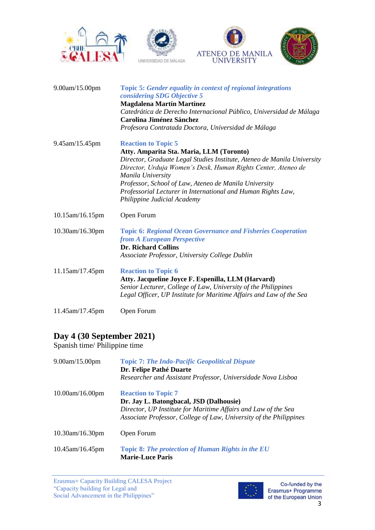







| 9.00am/15.00pm  | <b>Topic 5: Gender equality in context of regional integrations</b><br>considering SDG Objective 5<br><b>Magdalena Martín Martínez</b>                                                      |
|-----------------|---------------------------------------------------------------------------------------------------------------------------------------------------------------------------------------------|
|                 | Catedrática de Derecho Internacional Público, Universidad de Málaga<br><b>Carolina Jiménez Sánchez</b>                                                                                      |
|                 | Profesora Contratada Doctora, Universidad de Málaga                                                                                                                                         |
| 9.45am/15.45pm  | <b>Reaction to Topic 5</b>                                                                                                                                                                  |
|                 | Atty. Amparita Sta. Maria, LLM (Toronto)                                                                                                                                                    |
|                 | Director, Graduate Legal Studies Institute, Ateneo de Manila University<br>Director, Urduja Women's Desk, Human Rights Center, Ateneo de<br>Manila University                               |
|                 | Professor, School of Law, Ateneo de Manila University                                                                                                                                       |
|                 | Professorial Lecturer in International and Human Rights Law,<br>Philippine Judicial Academy                                                                                                 |
| 10.15am/16.15pm | Open Forum                                                                                                                                                                                  |
| 10.30am/16.30pm | <b>Topic 6: Regional Ocean Governance and Fisheries Cooperation</b><br>from A European Perspective<br><b>Dr. Richard Collins</b>                                                            |
|                 | Associate Professor, University College Dublin                                                                                                                                              |
| 11.15am/17.45pm | <b>Reaction to Topic 6</b>                                                                                                                                                                  |
|                 | Atty. Jacqueline Joyce F. Espenilla, LLM (Harvard)<br>Senior Lecturer, College of Law, University of the Philippines<br>Legal Officer, UP Institute for Maritime Affairs and Law of the Sea |
| 11.45am/17.45pm | Open Forum                                                                                                                                                                                  |

# **Day 4 (30 September 2021)**

Spanish time/ Philippine time

| $9.00$ am/15.00pm  | <b>Topic 7: The Indo-Pacific Geopolitical Dispute</b><br>Dr. Felipe Pathé Duarte<br>Researcher and Assistant Professor, Universidade Nova Lisboa                                                              |
|--------------------|---------------------------------------------------------------------------------------------------------------------------------------------------------------------------------------------------------------|
| $10.00$ am/16.00pm | <b>Reaction to Topic 7</b><br>Dr. Jay L. Batongbacal, JSD (Dalhousie)<br>Director, UP Institute for Maritime Affairs and Law of the Sea<br>Associate Professor, College of Law, University of the Philippines |
| $10.30$ am/16.30pm | Open Forum                                                                                                                                                                                                    |
| $10.45$ am/16.45pm | Topic 8: The protection of Human Rights in the EU<br><b>Marie-Luce Paris</b>                                                                                                                                  |